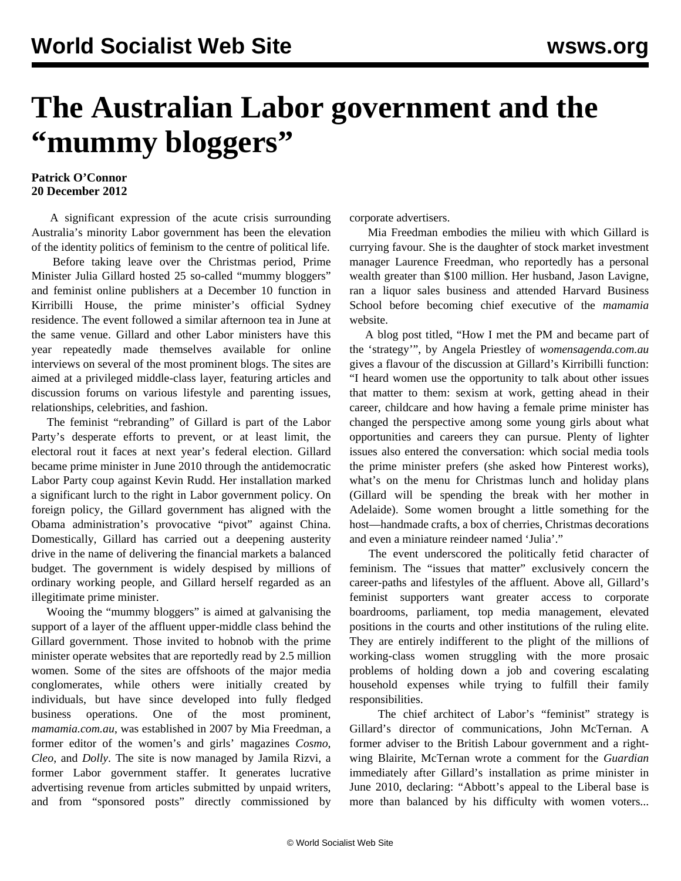## **The Australian Labor government and the "mummy bloggers"**

## **Patrick O'Connor 20 December 2012**

 A significant expression of the acute crisis surrounding Australia's minority Labor government has been the elevation of the identity politics of feminism to the centre of political life.

 Before taking leave over the Christmas period, Prime Minister Julia Gillard hosted 25 so-called "mummy bloggers" and feminist online publishers at a December 10 function in Kirribilli House, the prime minister's official Sydney residence. The event followed a similar afternoon tea in June at the same venue. Gillard and other Labor ministers have this year repeatedly made themselves available for online interviews on several of the most prominent blogs. The sites are aimed at a privileged middle-class layer, featuring articles and discussion forums on various lifestyle and parenting issues, relationships, celebrities, and fashion.

 The feminist "rebranding" of Gillard is part of the Labor Party's desperate efforts to prevent, or at least limit, the electoral rout it faces at next year's federal election. Gillard became prime minister in June 2010 through the antidemocratic Labor Party coup against Kevin Rudd. Her installation marked a significant lurch to the right in Labor government policy. On foreign policy, the Gillard government has aligned with the Obama administration's provocative "pivot" against China. Domestically, Gillard has carried out a deepening austerity drive in the name of delivering the financial markets a balanced budget. The government is widely despised by millions of ordinary working people, and Gillard herself regarded as an illegitimate prime minister.

 Wooing the "mummy bloggers" is aimed at galvanising the support of a layer of the affluent upper-middle class behind the Gillard government. Those invited to hobnob with the prime minister operate websites that are reportedly read by 2.5 million women. Some of the sites are offshoots of the major media conglomerates, while others were initially created by individuals, but have since developed into fully fledged business operations. One of the most prominent, *mamamia.com.au*, was established in 2007 by Mia Freedman, a former editor of the women's and girls' magazines *Cosmo*, *Cleo*, and *Dolly*. The site is now managed by Jamila Rizvi, a former Labor government staffer. It generates lucrative advertising revenue from articles submitted by unpaid writers, and from "sponsored posts" directly commissioned by corporate advertisers.

 Mia Freedman embodies the milieu with which Gillard is currying favour. She is the daughter of stock market investment manager Laurence Freedman, who reportedly has a personal wealth greater than \$100 million. Her husband, Jason Lavigne, ran a liquor sales business and attended Harvard Business School before becoming chief executive of the *mamamia* website.

 A blog post titled, "How I met the PM and became part of the 'strategy'", by Angela Priestley of *womensagenda.com.au* gives a flavour of the discussion at Gillard's Kirribilli function: "I heard women use the opportunity to talk about other issues that matter to them: sexism at work, getting ahead in their career, childcare and how having a female prime minister has changed the perspective among some young girls about what opportunities and careers they can pursue. Plenty of lighter issues also entered the conversation: which social media tools the prime minister prefers (she asked how Pinterest works), what's on the menu for Christmas lunch and holiday plans (Gillard will be spending the break with her mother in Adelaide). Some women brought a little something for the host—handmade crafts, a box of cherries, Christmas decorations and even a miniature reindeer named 'Julia'."

 The event underscored the politically fetid character of feminism. The "issues that matter" exclusively concern the career-paths and lifestyles of the affluent. Above all, Gillard's feminist supporters want greater access to corporate boardrooms, parliament, top media management, elevated positions in the courts and other institutions of the ruling elite. They are entirely indifferent to the plight of the millions of working-class women struggling with the more prosaic problems of holding down a job and covering escalating household expenses while trying to fulfill their family responsibilities.

 The chief architect of Labor's "feminist" strategy is Gillard's director of communications, John McTernan. A former adviser to the British Labour government and a rightwing Blairite, McTernan wrote a comment for the *Guardian* immediately after Gillard's installation as prime minister in June 2010, declaring: "Abbott's appeal to the Liberal base is more than balanced by his difficulty with women voters...